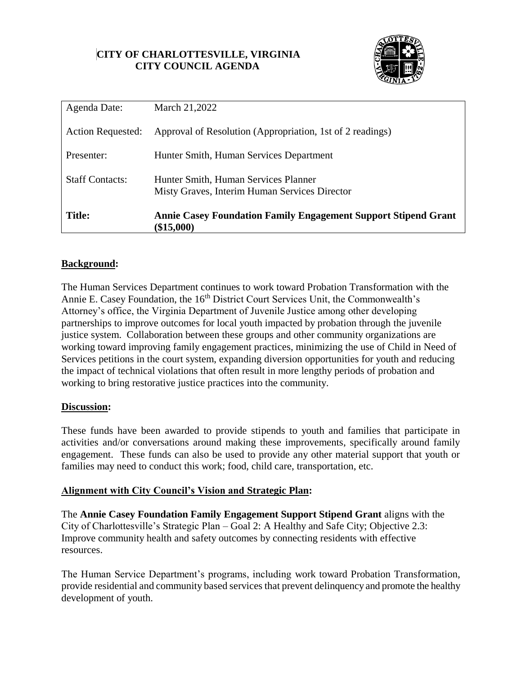# **CITY OF CHARLOTTESVILLE, VIRGINIA CITY COUNCIL AGENDA**



| Agenda Date:             | March 21,2022                                                                         |  |  |
|--------------------------|---------------------------------------------------------------------------------------|--|--|
| <b>Action Requested:</b> | Approval of Resolution (Appropriation, 1st of 2 readings)                             |  |  |
| Presenter:               | Hunter Smith, Human Services Department                                               |  |  |
| <b>Staff Contacts:</b>   | Hunter Smith, Human Services Planner<br>Misty Graves, Interim Human Services Director |  |  |
| <b>Title:</b>            | <b>Annie Casey Foundation Family Engagement Support Stipend Grant</b><br>$(\$15,000)$ |  |  |

# **Background:**

The Human Services Department continues to work toward Probation Transformation with the Annie E. Casey Foundation, the 16<sup>th</sup> District Court Services Unit, the Commonwealth's Attorney's office, the Virginia Department of Juvenile Justice among other developing partnerships to improve outcomes for local youth impacted by probation through the juvenile justice system. Collaboration between these groups and other community organizations are working toward improving family engagement practices, minimizing the use of Child in Need of Services petitions in the court system, expanding diversion opportunities for youth and reducing the impact of technical violations that often result in more lengthy periods of probation and working to bring restorative justice practices into the community.

#### **Discussion:**

These funds have been awarded to provide stipends to youth and families that participate in activities and/or conversations around making these improvements, specifically around family engagement. These funds can also be used to provide any other material support that youth or families may need to conduct this work; food, child care, transportation, etc.

# **Alignment with City Council's Vision and Strategic Plan:**

The **Annie Casey Foundation Family Engagement Support Stipend Grant** aligns with the City of Charlottesville's Strategic Plan – Goal 2: A Healthy and Safe City; Objective 2.3: Improve community health and safety outcomes by connecting residents with effective resources.

The Human Service Department's programs, including work toward Probation Transformation, provide residential and community based services that prevent delinquency and promote the healthy development of youth.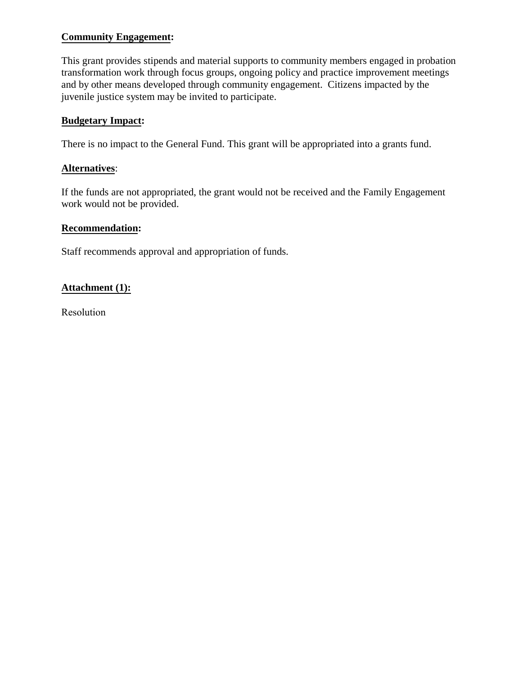# **Community Engagement:**

This grant provides stipends and material supports to community members engaged in probation transformation work through focus groups, ongoing policy and practice improvement meetings and by other means developed through community engagement. Citizens impacted by the juvenile justice system may be invited to participate.

# **Budgetary Impact:**

There is no impact to the General Fund. This grant will be appropriated into a grants fund.

### **Alternatives**:

If the funds are not appropriated, the grant would not be received and the Family Engagement work would not be provided.

# **Recommendation:**

Staff recommends approval and appropriation of funds.

# **Attachment (1):**

Resolution